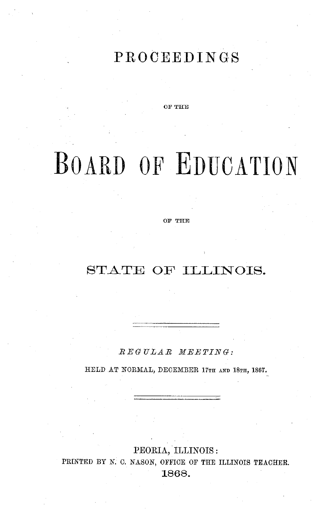## **PROCEEDINGS**

**OF THE**

# BOARD **OF** EDUCATION

OF THE

## STATE OF ILLINOIS.

*EGULAR MEETING:*

HELD AT NORMAL, DECEMBER 17TH AND 18TH, 1867.

PEORIA, ILLINOIS: PRINTED BY N. C. NASON, OFFICE OF THE ILLINOIS TEACHER. 1868.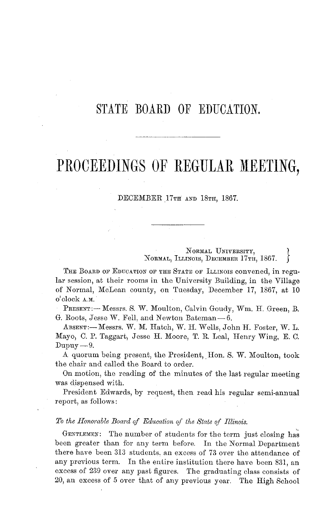## STATE BOARD OF EDUCATION.

# PROCEEDINGS OF REGULAR MEETING,

#### DECEMBER 17TH AND **18TH,** 1867.

NORMAL UNIVERSITY. NORMAL, ILLINOIS, DECEMBER 17TH, 1867.

THE BOARD OF EDUCATION OF THE STATE OF ILLINOIS CONVened, in regular session, at their rooms in the University Building, in the Village of Normal, McLean county, on Tuesday, December 17, 1867, at 10 o'clock A.M.

PRESENT: - Messrs. S. W. Moulton, Calvin Goudy, Wm. H. Green, B. G. Roots, Jesse W. Fell, and Newton Bateman- 6.

ABSENT:- Messrs. W. M. Hatch, W. H. Wells, John H. Foster, W. L. Mayo, C. P. Taggart, Jesse H. Moore, T. R. Leal, Henry Wing, E. C.  $Dupuy-9.$ 

A quorum being present, the President, Hon. S. W. Moulton, took the chair and called the Board to order.

On motion, the reading of the minutes of the last regular meeting was dispensed with.

President Edwards, by request, then read his regular semi-annual report, as follows:

#### *To the Honorable Board of Education of the State of Illinois.*

GENTLEMEN: The number of students for the term just closing has been greater than for any term before. In the Normal Department there have been 313 students. an excess of 73 over the attendance of any previous term. In the entire institution there have been 831, an excess of 239 over any past figures. The graduating class consists of 20, an excess of 5 over that of any previous year. The High School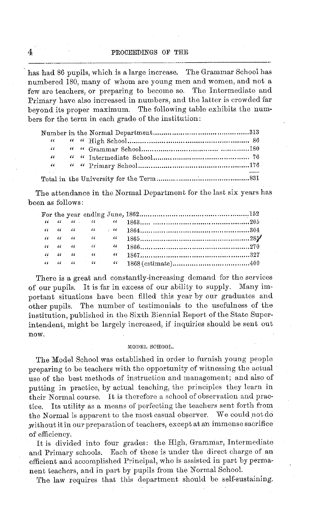has had 86 pupils, which is a large increase. The Grammar School has numbered 180, many of whom are young men and women, and not a few are teachers, or preparing to become so. The Intermediate and Primary have also increased in numbers, and the latter is crowded far beyond its proper maximum. The following table exhibits the numbers for the term in each grade of the institution:

The attendance in the Normal Department for the last six years has been as follows:

There is a great and constantly-increasing demand for the services of our pupils. It is far in excess of our ability to supply. Many important situations have been filled this year by our graduates and other pupils. The number of testimonials to the usefulness of the institution, published in the Sixth Biennial Report of the State Superintendent, might be largely increased, if inquiries should be sent out now.

#### MODEL SCHOOL.

The Model School was established in order to furnish young people preparing to be teachers with the opportunity of witnessing the actual use of the best methods of instruction and management; and also of putting in practice, by actual teaching, the principles they learn in their Normal course. It is therefore a school of observation and practice. Its utility as a means of perfecting the teachers sent forth from the Normal is apparent to the most casual observer. We could not do without it in our preparation of teachers, except at an immense sacrifice of efficiency.

It is divided into four grades: the High, Grammar, Intermediate and Primary schools. Each of these is under the direct charge of an efficient and accomplished Principal, who is assisted in part by permanent teachers, and in part by pupils from the Normal School.

The law requires that this department should be self-sustaining.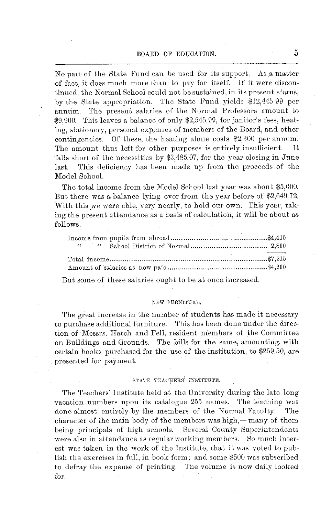#### BOARD OF EDUCATION. 5

No part of the State Fund can be used for its support. As a matter of fact, it does much more than to pay for itself. If it were discontinued, the Normal School could not be sustained, in its present status, by the State appropriation. The State Fund yields \$12,445.99 per annum. The present salaries of the Normal Professors amount to \$9,900. This leaves a balance of only \$2,545.99, for janitor's fees, heating, stationery, personal expenses of members of the Board, and other contingencies. Of these, the heating alone costs \$2,300 per annum. The amount thus left for other purposes is entirely insufficient. It falls short of the necessities by \$3,485.07, for the year closing in June last. This deficiency has been made up from the proceeds of the Model School.

The total income from the Model School last year was about \$5,000. But there was a balance lying over from the year before of \$2,649.72. With this we were able, very nearly, to hold our own. This year, taking the present attendance as a basis of calculation, it will be about as follows.

But some of these salaries ought to be at once increased.

#### NEW FURNITURE.

The great increase in the number of students has made it necessary to purchase additional furniture. This has been done under the direction of Messrs. Hatch and Fell, resident members of the Committee on Buildings and Grounds. The bills for the same, amounting, with certain books purchased for the use of the institution, to \$259.50, are presented for payment.

#### STATE TEACHERS' INSTITUTE.

The Teachers' Institute held at the University during the late long vacation numbers upon its catalogue 255 names. The teaching was done almost entirely by the members of the Normal Faculty. The character of the main body of the members was high,-many of them being principals of high schools. Several County Superintendents were also in attendance as regular working members. So much interest was taken in the work of the Institute, that it was voted to publish the exercises in full, in book form; and some \$500 was subscribed to defray the expense of printing. The volume is now daily looked for.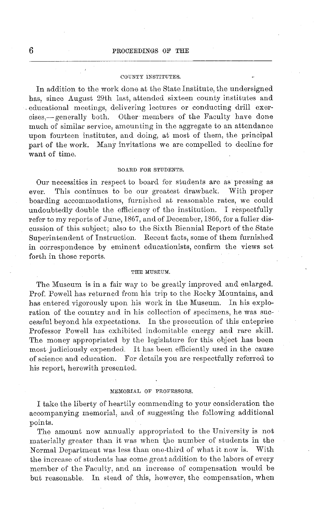#### COUNTY INSTITUTES.

In addition to the work done at the State Institute, the undersigned has, since August 29th last, attended sixteen county institutes and educational meetings, delivering lectures or conducting drill exercises,--generally both. Other members of the Faculty have done much of similar service, amounting in the aggregate to an attendance upon fourteen institutes, and doing, at most of them, the principal part of the work. Many invitations we are compelled to decline for want of time.

#### BOARD FOR STUDENTS.

Our necessities in respect to board for students are as pressing as ever. This continues to be our greatest drawback. With proper boarding accommodations, furnished at reasonable rates, we could undoubtedly double the efficiency of the institution. I respectfully refer to my reports of June, 1867, and of December, 1866, for a fuller discussion of this subject; also to the Sixth Biennial Report of the State Superintendent of Instruction. Recent facts, some of them furnished in correspondence by eminent educationists, confirm the views set forth in those reports.

#### **THE** MUSEUM.

The Museum is in a fair way to be greatly improved and enlarged. Prof. Powell has returned from his trip to the Rocky Mountains, and has entered vigorously upon his work in the Museum. In his exploration of the country and in his collection of specimens, he was successful beyond his expectations. In the prosecution of this enteprise Professor Powell has exhibited indomitable energy and rare skill. The money appropriated by the legislature for this object has been most judiciously expended. It has been efficiently used in the cause of science and education. For details you are respectfully referred to his report, herewith presented.

#### MEMORIAL OF PROFESSORS.

I take the liberty of heartily commending to your consideration the accompanying memorial, and of suggesting the following additional points.

The amount now annually appropriated to the University is not materially greater than it was when the number of students in the Normal Department was less than one-third of what it now is. With the increase of students has come great addition to the labors of every member of the Faculty, and an increase of compensation would be but reasonable. In stead of this, however, the compensation, when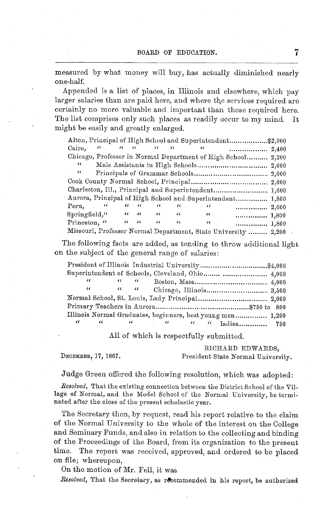measured by what money will buy, has actually diminished nearly one-half.

Appended is a list of places, in Illinois and elsewhere, which pay larger salaries than are paid here, and where the services required are certainly no more valuable and important than those required here. The list comprises only such places as readily occur to my mind. It might be easily and greatly enlarged.

|               |            |                                       |            |                       |            |          | Alton, Principal of High School and Superintendent \$2,000     |  |
|---------------|------------|---------------------------------------|------------|-----------------------|------------|----------|----------------------------------------------------------------|--|
| Cairo.        | $\epsilon$ | $\epsilon\epsilon = \epsilon\epsilon$ |            | $\epsilon$ $\epsilon$ | $\epsilon$ | $\alpha$ |                                                                |  |
|               |            |                                       |            |                       |            |          | Chicago, Professor in Normal Department of High School 2,200   |  |
| "             |            |                                       |            |                       |            |          |                                                                |  |
| 46            |            |                                       |            |                       |            |          |                                                                |  |
|               |            |                                       |            |                       |            |          |                                                                |  |
|               |            |                                       |            |                       |            |          | Charleston, Ill., Principal and Superintendent 1,600           |  |
|               |            |                                       |            |                       |            |          | Aurora, Principal of High School and Superintendent 1,800      |  |
| Peru.         | "          | $\epsilon$                            | $\sqrt{6}$ | "                     | $\epsilon$ | 46       |                                                                |  |
| Springfield," |            | $\epsilon$                            | $\sqrt{6}$ | $\epsilon$            | "          | "        | 1,800                                                          |  |
| Princeton, "  |            | $\epsilon$                            | $\epsilon$ | "                     | $\epsilon$ | "        | 1,800                                                          |  |
|               |            |                                       |            |                       |            |          | Missouri, Professor Normal Department, State University  2,200 |  |

The following facts are added, as tending to throw additional light on the subject of the general range of salaries:

|                       |            |            | Superintendent of Schools, Cleveland, Ohio  4,000                                                                                                                                                                                                                                                                                |  |
|-----------------------|------------|------------|----------------------------------------------------------------------------------------------------------------------------------------------------------------------------------------------------------------------------------------------------------------------------------------------------------------------------------|--|
|                       | $\epsilon$ | $\epsilon$ |                                                                                                                                                                                                                                                                                                                                  |  |
|                       |            |            |                                                                                                                                                                                                                                                                                                                                  |  |
|                       |            |            | Normal School, St. Louis, Lady Principal 2,000                                                                                                                                                                                                                                                                                   |  |
|                       |            |            |                                                                                                                                                                                                                                                                                                                                  |  |
|                       |            |            | Illinois Normal Graduates, beginners, best young men 1,200                                                                                                                                                                                                                                                                       |  |
| $\alpha$ and $\alpha$ |            |            | $\alpha$ and $\alpha$ and $\alpha$ and $\alpha$ and $\alpha$ and $\alpha$ and $\alpha$ and $\alpha$ and $\alpha$ and $\alpha$ and $\alpha$ and $\alpha$ and $\alpha$ and $\alpha$ and $\alpha$ and $\alpha$ and $\alpha$ and $\alpha$ and $\alpha$ and $\alpha$ and $\alpha$ and $\alpha$ and $\alpha$ and $\alpha$ and $\alpha$ |  |

All of which is respectfully submitted.

RICHARD EDWARDS, DECEMBER, 17, 1867. President State Normal University.

Judge Green offered the following resolution, which was adopted:

*Resolved,* That the existing connection between the District School of the Village of Normal, and the Model School of the Normal University, be terminated after the close of the present scholastic year.

The Secretary then, by request, read his report relative to the claim of the Normal University to the whole of the interest on the College and Seminary Funds, and also in relation to the collecting and binding of the Proceedings of the Board, from its organization to the present time. The report was received, approved, and ordered to be placed on file; whereupon,

On the motion of Mr. Fell, it was

*Resolved*, That the Secretary, as recommended in his report, be authorized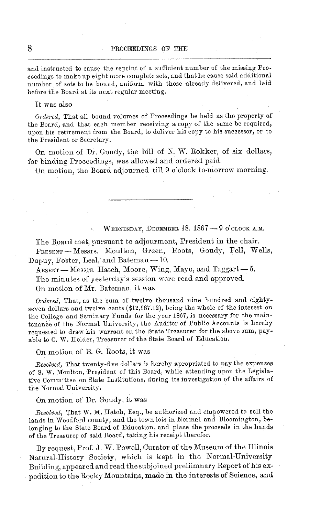and instructed to cause the reprint of a sufficient number of the missing Proceedings to make up eight more complete sets, and that he cause said additional number of sets to be bound, uniform with those already delivered, and laid before the Board at its next regular meeting.

It was also

*Ordered,* That all bound volumes of Proceedings be held as the property of the Board, and that each member receiving a copy of the same be required, upon his retirement from the Board, to deliver his copy to his successor, or to the President or Secretary.

On motion of Dr. Goudy, the bill of N. W. Rokker, of six dollars, for binding Proceedings, was allowed and ordered paid.

On motion, the Board adjourned till 9 o'clock to-morrow morning.

WEDNESDAY, DECEMBER 18,  $1867 - 9$  o'CLOCK A.M.

The Board met, pursuant to adjourment, President in the chair. PRESENT-Messrs. Moulton, Green, Roots, Goudy, Fell, Wells, Dupuy, Foster, Leal, and Bateman - 10.

 $A_{\text{BSENT}}$  - Messrs. Hatch, Moore, Wing, Mayo, and Taggart -- 5. The minutes of yesterday's session were read and approved. On motion of Mr. Bateman, it was

*Ordered,* That, as the sum of twelve thousand nine hundred and eightyseven dollars and twelve cents (\$12,987.12), being the whole of the interest on the College and Seminary Funds for the year 1867, is necessary for the maintenance of the Normal University, the Auditor of Public Accounts is hereby requested to draw his warrant on the State Treasurer for the above sum, payable to C. W. Holder, Treasurer of the State Board of Education.

On motion of B. G. Roots, it was

*Resolved,* That twenty-five dollars is hereby apropriated to pay the expenses of S. W. Moulton, President of this Board, while attending upon the Legislative Committee on State Institutions, during its investigation of the affairs of the Normal University.

On motion of Dr. Goudy, it was

*Resolved,* That W. M. Hatch, Esq., be authorized and empowered to sell the lands in Woodford county, and the town lots in Normal and Bloomington, belonging to the State Board of Education, and place the proceeds in the hands of the Treasurer of said Board, taking his receipt therefor.

By request, Prof. J. W. Powell, Curator of the Museum of the Illinois Natural-History Society, which is kept in the Normal-University Building, appeared and read the subjoined preliimnary Report of his expedition to the Rocky Mountains, made in the interests of Science, and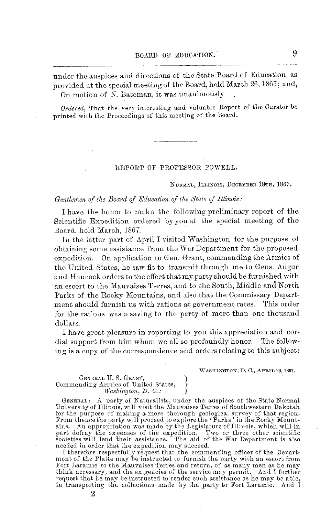under the auspices and directions of the State Board of Education, as provided at the special meeting of the Board, held March 26, 1867; and, On motion of N. Bateman, it was unanimously

*Ordered,* That the very interesting and valuable Report of the Curator be printed with the Proceedings of this meeting of the Board.

#### REPORT OF PROFESSOR POWELL.

NORMAL, ILLINOIS, DECEMBER 18TH, 1867.

#### *Gentlemen of the Board of Education of the State of Illinois:*

I have the honor to make the following preliminary report of the Scientific Expedition ordered by you at the special meeting of the Board, held March, 1867.

In the latter part of April I visited Washington for the purpose of obtaining some assistance from the War Department for the proposed expedition. On application to Gen. Grant, commanding the Armies of the United States, he saw fit to transmit through me to Gens. Augur and Hancock orders to the effect that my party should be furnished with an escort to the Mauvaises Terres, and to the South, Middle and North Parks of the Rocky Mountains, and also that the Commissary Department should furnish us with rations at government rates. This order for the rations was a saving to the party of more than one thousand dollars.

I have great pleasure in reporting to you this appreciation and cordial support from him whom we all so profoundly honor. The following is a copy of the correspondence and orders relating to this subject:

WASHIINGTON, D. **C.,** APRIL 29,1867.

#### GENERAL U. S. GRANT, Commanding Armies of United States,<br>*Washington, D. C.*:

2

GENERAL: A party of Naturalists, under the auspices of the State Normal University of Illinois, will visit the Mauvaises Terres of Southwestern Dakotah for the purpose of making a more thorough geological survey of that region. From thence the party will proceed to explore the 'Parks' in the Rocky Mountains. An appropriation was made by the Legislature of Illinois, which will in part defray the expenses of the expedition. Two or three other scientific societies will lend their assistance. The aid of the War Department is also needed in order that the expedition may succeed.

I therefore respectfully request that the commanding officer of the Department of the Platte may be instructed to furnish the party with an escort from Fort Laramie to the Mauvaises Terres and return, of as many men as he request that he may be instructed to render such assistance as he may be able, in transporting the collections made by the party to Fort Laramie. And I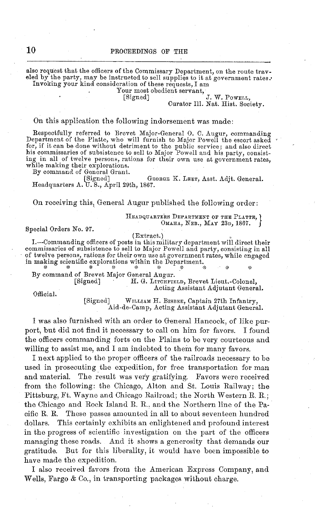also request that the officers of the Commissary Department, on the route traveled by the party, may be instructed to sell supplies to it at government rates.<br>
Invoking your kind consideration of these requests, I am<br>
Your most obedient servant,

Your most obedient servant,<br>[Signed] J. W. PoweLL,

Curator Ill. Nat. Hist. Society.

#### On this application the following indorsement was made:

Respectfully referred to Brevet Major-General 0. C. Augur, commanding Department of the Platte, who will furnish to Major Powell the escort asked for, if it can be done without detriment to the public service; and also direct his commissaries of subsistence to sell to Major Powell and his party, consisting in all of twelve persons, rations for their own use at government rates, while making their explorations. By command of General Grant.

[Signed] GEORGE K. LEET, Asst. Adjt. General. Headquarters A. U. S., April 29th, 1867.

On receiving this, General Augur published the following order:

HEADQUARTERS DEPARTMENT OF THE PLATTE,  $\Omega$ 

Special Orders No. 97.

(Extract.)

I.-Commanding officers of posts in this military department will direct their commissaries of subsistence to sell to Major Powell and party, consisting in all of twelve persons, rations for their own use at government rates, while engaged<br>in making scientific explorations within the Department.

By command of Brevet Major General Augur.

H. G. LITCHFIELD, Brevet Lieut.-Colonel, Acting Assistant Adjutant General.

Official.

[Signed] WILLIAM H. BISBEE, Captain 27th Infantry, Aid-de-Camp, Acting Assistant Adjutant General.

I was also furnished with an order to General Hancock, of like purport, but did not find it necessary to call on him for favors. I found the officers commanding forts on the Plains to be very courteous and willing to assist me, and I am indebted to them for many favors.

I next applied to the proper officers of the railroads necessary to be used in prosecuting the expedition, for free transportation for man and material. The result was very gratifying. Favors were received from the following: the Chicago, Alton and St. Louis Railway; the Pittsburg, Ft. Wayne and Chicago Railroad; the North Western R. R.; the Chicago and Rock Island R. R.. and the Northern line of the Pacific R. R. These passes amounted in all to about seventeen hundred dollars. This certainly exhibits an enlightened and profound interest in the progress of scientific investigation on the part of the officers managing these roads. And it shows a generosity that demands our gratitude. But for this liberality, it would have been impossible to have made the expedition.

I also received favors from the American Express Company, and Wells, Fargo & Co., in transporting packages without charge.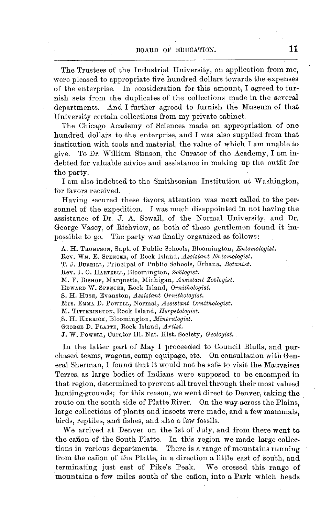The Trustees of the Industrial University, on application from me, were pleased to appropriate five hundred dollars towards the expenses of the enterprise. In consideration for this amount, I agreed to furnish sets from the duplicates of the collections made in the several departments. And I further agreed to furnish the Museum of that University certain collections from my private cabinet.

The Chicago Academy of Sciences made an appropriation of one hundred dollars to the enterprise, and I was also supplied from that institution with tools and material, the value of which I am unable to give. To Dr. William Stinson, the Curator of the Academy, I am indebted for valuable advice and assistance in making up the outfit for the party.

I am also indebted to the Smithsonian Institution at Washington, for favors received.

Having secured these favors, attention was next called to the personnel of the expedition. I was much disappointed in not having the assistance of Dr. J. A. Sewall, of the Normal University, and Dr. George Vasey, of Richview, as both of these gentlemen found it impossible to go. The party was finally organized as follows:

A. H. THOMPSON, Supt. of Public Schools, Bloomington, *Entomologist.* Rev. WM. E. SPENCER, of Rock Island, *Assistant Entomologist.* T. J. BURRILL, Principal of Public Schools, Urbana, *Botanist.* Rev. J. O. HARTZELL, Bloomington, *Zoologist.* M. F. BISHOP, Marquette, Michigan, *Assistant Zoologist.* EDWARD W. SPENCER, Rock Island, *Ornithologist.* S. H. HUSE, Evanston, *Assistant Ornithologist.* Mrs. EMMA D. POWELL, Normal, *Assistant Ornithologist.* M. TITTERINGTON, Rock Island, *Hterpetologist.* S. H. KERRICK, Bloomington, *Mineralogist.* GEORGE D. PLATTE, Rock Island, *Artist.* J. W. POWELL, Curator Ill. Nat. Hist. Society, *Geologist.*

In the latter part of May I proceeded to Council Bluffs, and purchased teams, wagons, camp equipage, etc. On consultation with General Sherman, I found that it would not be safe to visit the Mauvaises Terres, as large bodies of Indians were supposed to be encamped in that region, determined to prevent all travel through their most valued hunting-grounds; for this reason, we went direct to Denver, taking the route on the south side of Platte River. On the way across the Plains, large collections of plants and insects were made, and a few mammals, birds, reptiles, and fishes, and also a few fossils.

We arrived at Denver on the 1st of July, and from there went to the cañon of the South Platte. In this region we made large collections in various departments. There is a range of mountains running from the cañon of the Platte, in a direction a little east of south, and terminating just east of Pike's Peak. We crossed this range of mountains a few miles south of the canion, into a Park which heads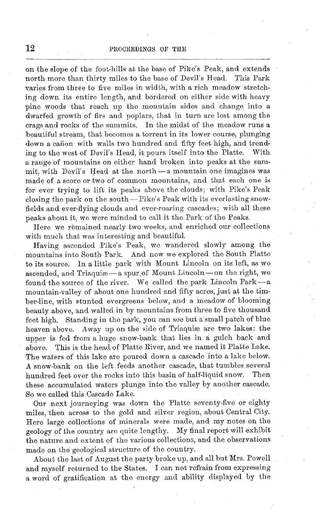on the slope of the foot-hills at the base of Pike's Peak, and extends north more than thirty miles to the base of Devil's Head. This Park varies from three to five miles in width, with a rich meadow stretching down its entire length, and bordered on either side with heavy pine woods that reach up the mountain sides and change into a dwarfed growth of firs and poplars, that in turn are lost among the crags and rocks of the summits. In the midst of the meadow runs a beautiful stream, that becomes a torrent in its lower course, plunging down a cañon with walls two hundred and fifty feet high, and trending to the west of Devil's Head, it pours itself into the Platte. With a range of mountains on either hand broken into peaks at the summit. with Devil's Head at the north -a mountain one imagines was made of a score or two of common mountains, and that each one is for ever trying to lift its peaks above the clouds; with Pike's Peak closing the park on the south-Pike's Peak with its everlasting snowfields and ever-flying clouds and ever-roaring cascades; with all these peaks about it, we were minded to call it the Park of the Peaks.

Here we remained nearly two weeks, and enriched our collections with much that was interesting and beautiful.

Having ascended Pike's Peak, we wandered slowly among the mountains into South Park. And now we explored the South Platte to its source. In a little park with Mount Lincoln on its left, as we ascended, and Triaquiae-a spur of Mount Lincoln-on the right, we found the source of the river. We called the park Lincoln Park-a mountain-valley of about one hundred and fifty acres, just at the timber-line, with stunted evergreens below, and a meadow of blooming beauty above, and walled in by mountains from three to five thousand feet high. Standing in the park, you can see but a small patch of blue heaven above. Away up on the side of Triaquise are two lakes: the upper is fed from a huge snow-bank that lies in a gulch back and above. This is the head of Platte River, and we named it Platte Lake. The waters of this lake are poured down a cascade into a lake below. A snow-bank on the left feeds another cascade, that tumbles several<br>bundred feet over the rocks into this basin of half-liquid snow. Then hundred feet over the rocks into this basin of half-liquid snow. these accumulated waters plunge into the valley by another cascade. So we called this Cascade Lake.

Our next journeying was down the Platte seventy-five or eighty miles, then across to the gold and silver region, about Central City. Here large collections of minerals were made, and my notes on the geology of the country are quite lengthy. My final report will exhibit the nature and extent of the various collections, and the observations made on the geological structure of the country.

About the last of August the party broke up, and all but Mrs. Powell and myself returned to the States. I can not refrain from expressing a word of gratification at the energy and ability displayed by the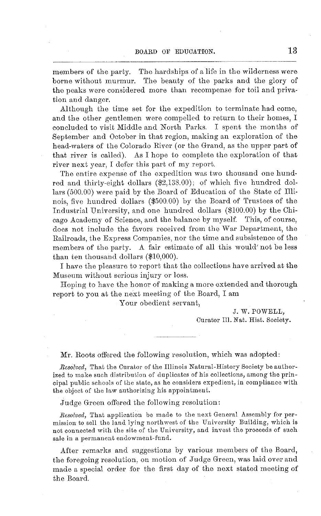members of the party. The hardships of a life in the wilderness were borne without murmur. The beauty of the parks and the glory of the peaks were considered more than recompense for toil and privation and danger.

Although the time set for the expedition to terminate had come, and the other gentlemen were compelled to return to their homes, I concluded to visit Middle and North Parks. I spent the months of September and October in that region, making an exploration of the head-waters of the Colorado River (or the Grand, as the upper part of that river is called). As I hope to complete the exploration of that river next year, I defer this part of my report.

The entire expense of the expedition was two thousand one hundred and thirty-eight dollars (\$2,138.00); of which five hundred dollars (500.00) were paid by the Board of Education of the State of Illinois, five hundred dollars (\$500.00) by the Board of Trustees of the Industrial University, and one hundred dollars (\$100.00) by the Chicago Academy of Science, and the balance by myself. This, of course, does not include the favors received from the War Department, the Railroads, the Express Companies, nor the time and subsistence of the members of the party. A fair estimate of all this would' not be less than ten thousand dollars (\$10,000).

I have the pleasure to report that the collections have arrived at the Museum without serious injury or loss.

Hoping to have the honor of making a more extended and thorough report to you at the next meeting of the Board, I am

Your obedient servant,

J. W. POWELL, Curator Ill. Nat. Hist. Society.

#### Mr. Roots offered the following resolution, which was adopted:

*Resolved,* That the Curator of the Illinois Natural-History Society be authorized to make such distribution of duplicates of his collections, among the principal public schools of the state, as he considers expedient, in compliance with the object of the law authorizing his appointment.

Judge Green offered the following resolution:

*Resolved,* That application be made to the next General Assembly for permission to sell the land lying northwest of the University Building, which is not connected with the site of the University, and invest the proceeds of such sale in a permanent endowment-fund.

After remarks and suggestions by various members of the Board, the foregoing resolution, on motion of Judge Green, was laid over and made a special order for the first day of the next stated meeting of the Board.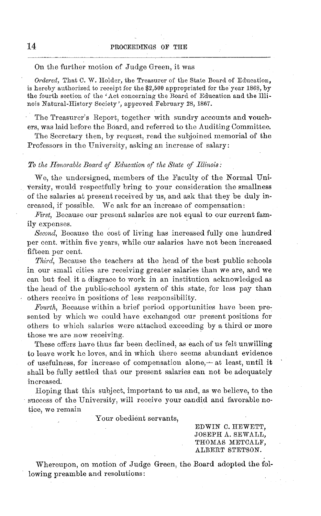#### On the further motion of Judge Green, it was

*Ordered,* That C. W. Holder, the Treasurer of the State Board of Education, is hereby authorized to receipt for the \$2,500 appropriated for the year 1868, by the fourth section of the 'Act concerning the Board of Education and the Illinois Natural-History Society', approved February 28, 1867.

The Treasurer's Report, together with sundry accounts and vouchers, was laid before the Board, and referred to the Auditing Committee.

The Secretary then, by request, read the subjoined memorial of the Professors in the University, asking an increase of salary:

#### *To the Honorable Board of Education of the State of Illinois:*

We, the undersigned, members of the Faculty of the Normal University, would respectfully bring to your consideration the smallness of the salaries at present received by us, and ask that they be duly increased, if possible. We ask for an increase of compensation:

*First,* Because our present salaries are not equal to our current family expenses.

*Second,* Because the cost of living has increased fully one hundred per cent. within five years, while our salaries have not been increased fifteen per cent.

*Third,* Because the teachers at the head of the best public schools in our small cities are receiving greater salaries than we are, and we can but feel it a disgrace to work in an institution acknowledged as the head of the public-school system of this state, for less pay than others receive in positions of less responsibility.

*Fourth,* Because within a brief period opportunities have been presented by which we could have exchanged our present positions for others to which salaries were attached exceeding by a third or more those we are now receiving.

These offers have thus far been declined, as each of us felt unwilling to leave work he loves, and in which there seems abundant evidence of usefulness, for increase of compensation alone, $-$  at least, until it shall be fully settled that our present salaries can not be adequately increased.

Hoping that this subject, important to us and, as we believe, to the success of the University, will receive your candid and favorable notice, we remain

Your obedient servants,

EDWIN C. HEWETT, JOSEPH A. SEWALL, THOMAS METCALF, ALBERT STETSON.

Whereupon, on motion of Judge Green, the Board adopted the following preamble and resolutions: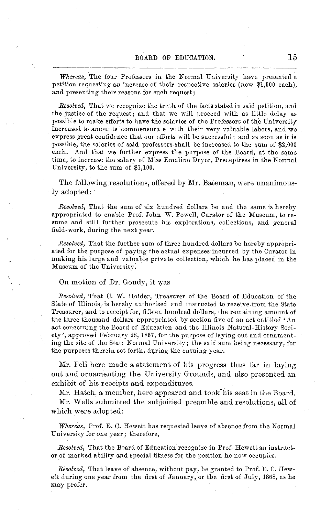*Whereas,* The four Professors in the Normal University have presented a petition requesting an increase of their respective salaries (now \$1,500 each), and presenting their reasons for such request;

*Resolved,* That we recognize the truth of the facts stated in said petition, and the justice of the request; and that we will proceed with as little delay as possible to make efforts to have the salaries of the Professors of the University increased to amounts commensurate with their very valuable labors, and we express great confidence that our efforts will be successful; and as soon as it is possible, the salaries of said professors shall be increased to the sum of \$2,000 each. And that we further express the purpose of the Board, at the same time, to increase the salary of Miss Emaline Dryer, Preceptress in the Normal University, to the sum of \$1,100.

The following resolutions, offered by Mr. Bateman, were unanimously adopted:

*Resolved,* That the sum of six hundred dollars be and the same is hereby appropriated to enable Prof. John W. Powell, Curator of the Museum, to resume and still further prosecute his explorations, collections, and general field-work, during the next year.

*Resolved,* That the further sum of three hundred dollars be hereby appropriated for the purpose of paying the actual expenses incurred by the Curator in making his large and valuable private collection, which he has placed in the Museum of the University.

#### On motion of Dr. Goudy, it was

*Resolved,* That C. W. Holder, Treasurer of the Board of Education of the State of Illinois, is hereby authorized and instructed to receive.from the State Treasurer, and to receipt for, fifteen hundred dollars, the remaining amount of the three thousand dollars appropriated by section five of an act entitled 'An act concerning the Board of Education and the Illinois Natural-History Society', approved February 28, 1867, for the purpose of laying out and ornamenting the site of the State Normal University; the said sum being necessary, for the purposes therein set forth, during the ensuing year.

Mr. Fell here made a statement of his progress thus far in laying out and ornamenting the University Grounds, and also presented an exhibit of his receipts and expenditures.

Mr. Hatch, a member, here appeared and took'his seat in the Board.

Mr. Wells submitted the subjoined preamble and resolutions, all of which were adopted:

*Whereas,* Prof. E. C. Hewett has requested leave of absence from the Normal University for one year; therefore,

*Resolved,* That the Board of Education recognize in Prof. Hewett an instructor of marked ability and special fitness for the position he now occupies.

*Resolved,* That leave of absence, without pay, be granted to Prof. E. C. Hewett during one year from the first of January, or the first of July, 1868, as he may prefer.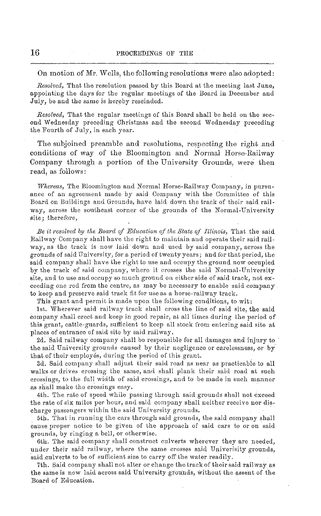On motion of Mr. Wells, the following resolutions were also adopted:

*Resolved,* That the resolution passed by this Board at the meeting last June, appointing the days for the regular meetings of the Board in December and July, be and the same is hereby rescinded.

*Resolved,* That the regular meetings of this Board shall be held on the second Wednesday preceding Christmas and the second Wednesday preceding the Fourth of July, in each year.

The subjoined preamble and resolutions, respecting the right and conditions of way of the Bloomington and Normal Horse-Railway Company through a portion of the University Grounds, were then read, as follows:

*Whereas,* The Bloomington and Normal Horse-Railway Company, in pursuance of an agreement made by said Company with the Committee of this Board on Buildings and Grounds, have laid down the track of their said railway, across the southeast corner of the grounds of the Normal-University site; therefore,

*Be it resolved by the Board of Education of the State of Illinois,* That the said Railway Company shall have the right to maintain and operate their said railway, as the track is now laid down and used by said company, across the grounds of said University, for a period of twenty years; and for that period, the said company shall have the right to use and occupy the ground now occupied by the track of said company, where it crosses the said Normal-University site, and to use and occupy so much ground on either side of said track, not exceeding one rod from the centre, as may be necessary to enable said company to keep and preserve said track fit for use as a horse-railway track.

This grant and permit is made upon the following conditions, to wit:

1st. Wherever said railway track shall cross the line of said site, the said company shall erect and keep in good repair, at all times during the period of this grant, cattle-guards, sufficient to keep all stock from entering said site at places of entrance of said site by said railway.

2d. Said railway company shall be responsible for all damages and injury to the said University grounds caused by their negligence or carelessness, or by that of their employés, during the period of this grant.

3d. Said company shall adjust their said road as near as practicable to all walks or drives crossing the same, and shall plank their said road at such crossings, to the full width of said crossings, and to be made in such manner as shall make the crossings easy.

4th. The rate of speed while passing through said grounds shall not exceed the rate of six miles per hour, and said company shall neither receive nor discharge passengers within the said University grounds.

5th. That in running the cars through said grounds, the said company shall cause proper notice to be given of the approach of said cars to or on said grounds, by ringing a bell, or otherwise.

6th. The said company shall construct culverts wherever they are needed, under their said railway, where the same crosses said Univerisity grounds, said culverts to be of sufficient size to carry off the water.readily.

7th. Said company shall not alter or change the track of their said railway as the same is now laid across said University grounds, without the assent of the Board of Education.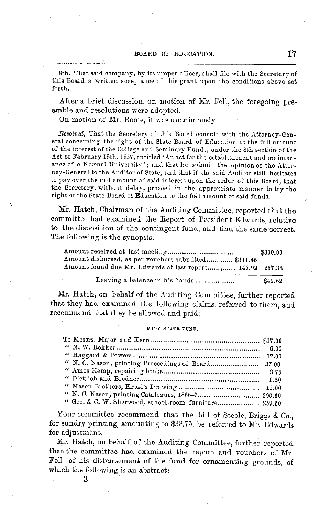8th. That said company, by its proper officer, shall file with the Secretary of this Board a written acceptance of this grant upon the conditions above set forth.

After a brief discussion, on motion of Mr. Fell, the foregoing preamble and resolutions were adopted.

On motion of Mr. Roots, it was unanimously

*Resolved,* That the Secretary of this Board consult with the Attorney-General concerning the right of the State Board of Education to the full amount of the interest of the College and Seminary Funds, under the 8th section of the Act of February 18th, 1857, entitled 'An act for the establishment and mainten- ance of a Normal University'; and that he submit the opinion of the Attorney-General to the Auditor of State, and that if the said Auditor still hesitates to pay over the full amount of said interest upon the order of this Board, that the Secretary, without delay, proceed in the appropriate manner to try the right of the State Board of Education to the ful1 amount of said funds.

Mr. Hatch, Chairman of the Auditing Committee, reported that the committee had examined the Report of President Edwards, relative to the disposition of the contingent fund, and find the same correct. The following is the synopsis:

|                                                           | \$300.00 |
|-----------------------------------------------------------|----------|
| Amount disbursed, as per vouchers submitted\$111.46       |          |
| Amount found due Mr. Edwards at last report 145.92 257.38 |          |
| Leaving a balance in his hands                            | \$42.62  |

Mr. Hatch, on behalf of the Auditing Committee, further reported that they had examined the following claims, referred to them, and recommend that they be allowed and paid:

#### FROM STATE FUND.

| " N. C. Nason, printing Proceedings of Board 37.00    |  |
|-------------------------------------------------------|--|
|                                                       |  |
|                                                       |  |
|                                                       |  |
| " N. C. Nason, printing Catalogues, 1866-7 290.60     |  |
| " Geo. & C. W. Sherwood, school-room furniture 259.50 |  |

Your committee recommend that the bill of Steele, Briggs & Co., for sundry printing, amounting to \$38.75, be referred to Mr. Edwards for adjustment.

Mr. Hatch, on behalf of the Auditing Committee, further reported that the committee had examined the report and vouchers of Mr. Fell, of his disbursement of the fund for ornamenting grounds, of which the following is an abstract: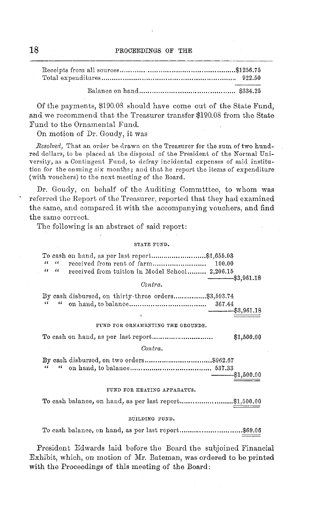Of the payments, \$190.08 should have come out of the State Fund, and we recommend that the Treasurer transfer \$190.08 from the State Fund to the Ornamental Fund.

On motion of Dr. Goudy, it was

*Resolved,* That an order be drawn on the Treasurer for the sum of two hundred dollars, to be placed at the disposal of the President of the Normal University, as a Contingent Fund, to defray incidental expenses of said institution for the ensuing six months; and that he report the items of expenditure (with vouchers) to the next meeting of the Board.

Dr. Goudy, on behalf of the Auditing Commtttee, to whom was referred the Report of the Treasurer, reported that they had examined the same, and compared it with the accompanying vouchers, and find the same correct.

The following is an abstract of said report:

#### STATE FUND.

| To cash on hand, as per last report\$1,655.03<br>$\epsilon$                |
|----------------------------------------------------------------------------|
| $\epsilon$                                                                 |
| $\epsilon$<br>$\epsilon$<br>received from tuition in Model School 2,206.15 |
| $-$ \$3.961.18<br>Contra.                                                  |
| By cash disbursed, on thirty-three orders\$3,593.74                        |
| $\epsilon$<br>$\epsilon$                                                   |
| $-$ - $\frac{1}{2}$ \$3,961.18<br>x                                        |
| FUND FOR ORNAMENTING THE GROUNDS.                                          |
| \$1,500.00                                                                 |
| Contra.                                                                    |
|                                                                            |
| 66<br>46 L                                                                 |
| ---------\$1,500.00                                                        |
| FUND FOR HEATING APPARATUS.                                                |
| To cash balance, on hand, as per last report\$1,500.00                     |
| BUILDING FUND.                                                             |
|                                                                            |

President Edwards laid before the Board the subjoined Financial Exhibit, which, on motion of Mr. Bateman, was ordered to be printed with the Proceedings of this meeting of the Board: